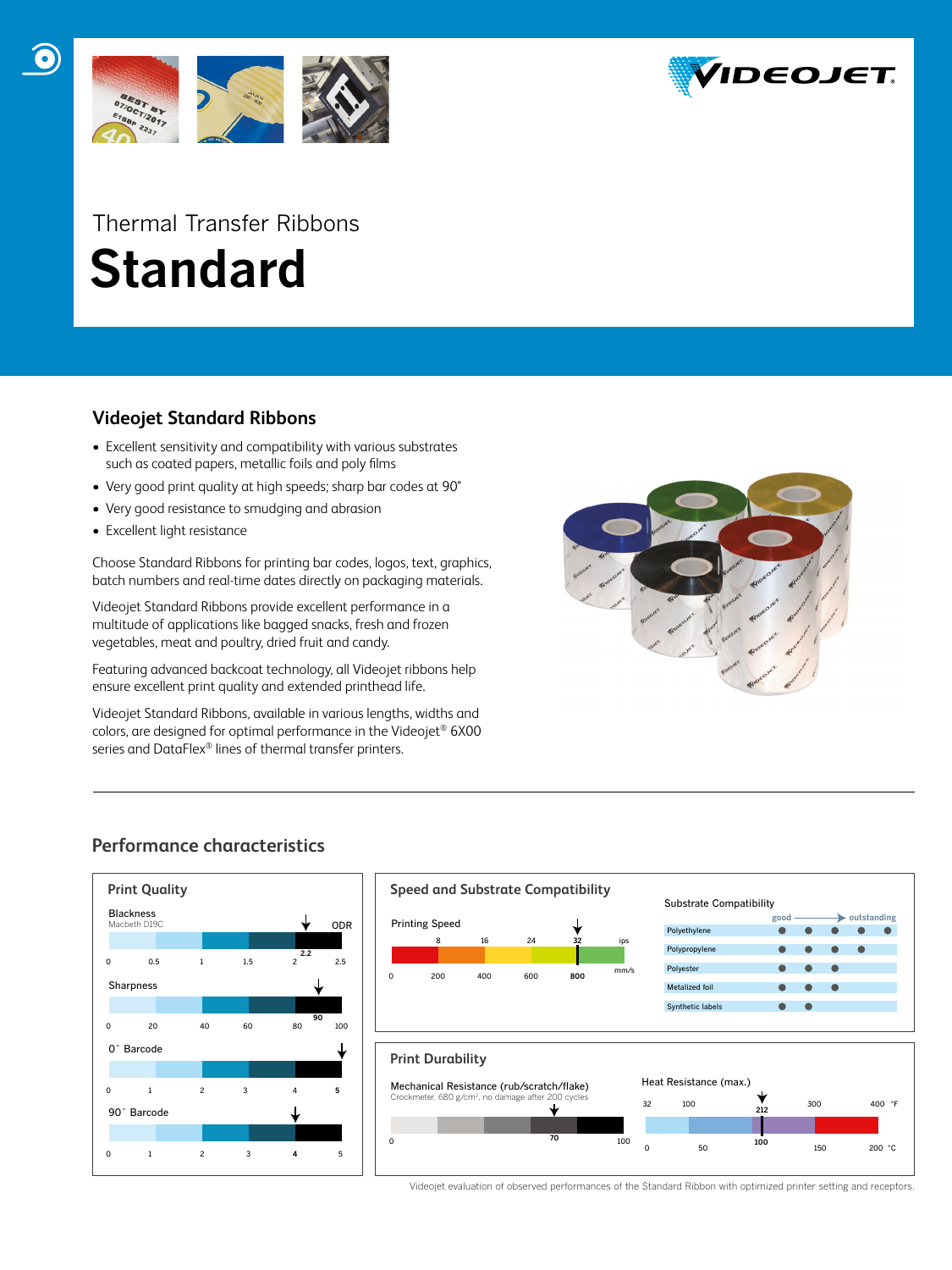

# Thermal Transfer Ribbons  **Standard**

# **Videojet Standard Ribbons**

- Excellent sensitivity and compatibility with various substrates such as coated papers, metallic foils and poly films
- Very good print quality at high speeds; sharp bar codes at 90°
- Very good resistance to smudging and abrasion
- Excellent light resistance

Choose Standard Ribbons for printing bar codes, logos, text, graphics, batch numbers and real-time dates directly on packaging materials.

Videojet Standard Ribbons provide excellent performance in a multitude of applications like bagged snacks, fresh and frozen vegetables, meat and poultry, dried fruit and candy.

Featuring advanced backcoat technology, all Videojet ribbons help ensure excellent print quality and extended printhead life.

Videojet Standard Ribbons, available in various lengths, widths and colors, are designed for optimal performance in the Videojet® 6X00 series and DataFlex® lines of thermal transfer printers.



# **Performance characteristics**





Videojet evaluation of observed performances of the Standard Ribbon with optimized printer setting and receptors.